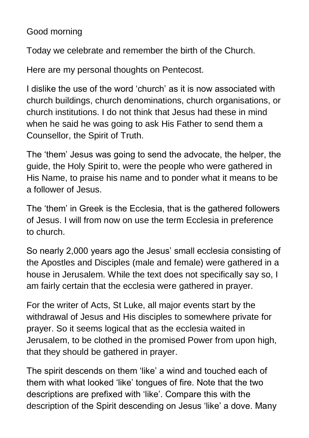## Good morning

Today we celebrate and remember the birth of the Church.

Here are my personal thoughts on Pentecost.

I dislike the use of the word 'church' as it is now associated with church buildings, church denominations, church organisations, or church institutions. I do not think that Jesus had these in mind when he said he was going to ask His Father to send them a Counsellor, the Spirit of Truth.

The 'them' Jesus was going to send the advocate, the helper, the guide, the Holy Spirit to, were the people who were gathered in His Name, to praise his name and to ponder what it means to be a follower of Jesus.

The 'them' in Greek is the Ecclesia, that is the gathered followers of Jesus. I will from now on use the term Ecclesia in preference to church.

So nearly 2,000 years ago the Jesus' small ecclesia consisting of the Apostles and Disciples (male and female) were gathered in a house in Jerusalem. While the text does not specifically say so, I am fairly certain that the ecclesia were gathered in prayer.

For the writer of Acts, St Luke, all major events start by the withdrawal of Jesus and His disciples to somewhere private for prayer. So it seems logical that as the ecclesia waited in Jerusalem, to be clothed in the promised Power from upon high, that they should be gathered in prayer.

The spirit descends on them 'like' a wind and touched each of them with what looked 'like' tongues of fire. Note that the two descriptions are prefixed with 'like'. Compare this with the description of the Spirit descending on Jesus 'like' a dove. Many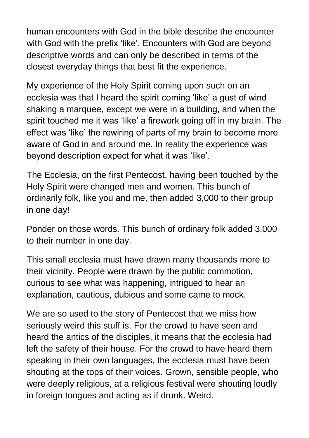human encounters with God in the bible describe the encounter with God with the prefix 'like'. Encounters with God are beyond descriptive words and can only be described in terms of the closest everyday things that best fit the experience.

My experience of the Holy Spirit coming upon such on an ecclesia was that I heard the spirit coming 'like' a gust of wind shaking a marquee, except we were in a building, and when the spirit touched me it was 'like' a firework going off in my brain. The effect was 'like' the rewiring of parts of my brain to become more aware of God in and around me. In reality the experience was beyond description expect for what it was 'like'.

The Ecclesia, on the first Pentecost, having been touched by the Holy Spirit were changed men and women. This bunch of ordinarily folk, like you and me, then added 3,000 to their group in one day!

Ponder on those words. This bunch of ordinary folk added 3,000 to their number in one day.

This small ecclesia must have drawn many thousands more to their vicinity. People were drawn by the public commotion, curious to see what was happening, intrigued to hear an explanation, cautious, dubious and some came to mock.

We are so used to the story of Pentecost that we miss how seriously weird this stuff is. For the crowd to have seen and heard the antics of the disciples, it means that the ecclesia had left the safety of their house. For the crowd to have heard them speaking in their own languages, the ecclesia must have been shouting at the tops of their voices. Grown, sensible people, who were deeply religious, at a religious festival were shouting loudly in foreign tongues and acting as if drunk. Weird.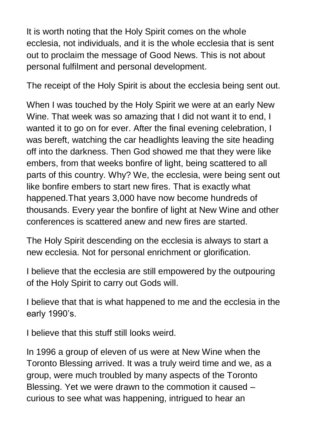It is worth noting that the Holy Spirit comes on the whole ecclesia, not individuals, and it is the whole ecclesia that is sent out to proclaim the message of Good News. This is not about personal fulfilment and personal development.

The receipt of the Holy Spirit is about the ecclesia being sent out.

When I was touched by the Holy Spirit we were at an early New Wine. That week was so amazing that I did not want it to end, I wanted it to go on for ever. After the final evening celebration, I was bereft, watching the car headlights leaving the site heading off into the darkness. Then God showed me that they were like embers, from that weeks bonfire of light, being scattered to all parts of this country. Why? We, the ecclesia, were being sent out like bonfire embers to start new fires. That is exactly what happened.That years 3,000 have now become hundreds of thousands. Every year the bonfire of light at New Wine and other conferences is scattered anew and new fires are started.

The Holy Spirit descending on the ecclesia is always to start a new ecclesia. Not for personal enrichment or glorification.

I believe that the ecclesia are still empowered by the outpouring of the Holy Spirit to carry out Gods will.

I believe that that is what happened to me and the ecclesia in the early 1990's.

I believe that this stuff still looks weird.

In 1996 a group of eleven of us were at New Wine when the Toronto Blessing arrived. It was a truly weird time and we, as a group, were much troubled by many aspects of the Toronto Blessing. Yet we were drawn to the commotion it caused – curious to see what was happening, intrigued to hear an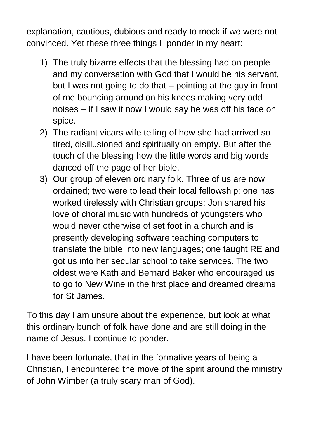explanation, cautious, dubious and ready to mock if we were not convinced. Yet these three things I ponder in my heart:

- 1) The truly bizarre effects that the blessing had on people and my conversation with God that I would be his servant, but I was not going to do that – pointing at the guy in front of me bouncing around on his knees making very odd noises – If I saw it now I would say he was off his face on spice.
- 2) The radiant vicars wife telling of how she had arrived so tired, disillusioned and spiritually on empty. But after the touch of the blessing how the little words and big words danced off the page of her bible.
- 3) Our group of eleven ordinary folk. Three of us are now ordained; two were to lead their local fellowship; one has worked tirelessly with Christian groups; Jon shared his love of choral music with hundreds of youngsters who would never otherwise of set foot in a church and is presently developing software teaching computers to translate the bible into new languages; one taught RE and got us into her secular school to take services. The two oldest were Kath and Bernard Baker who encouraged us to go to New Wine in the first place and dreamed dreams for St James.

To this day I am unsure about the experience, but look at what this ordinary bunch of folk have done and are still doing in the name of Jesus. I continue to ponder.

I have been fortunate, that in the formative years of being a Christian, I encountered the move of the spirit around the ministry of John Wimber (a truly scary man of God).